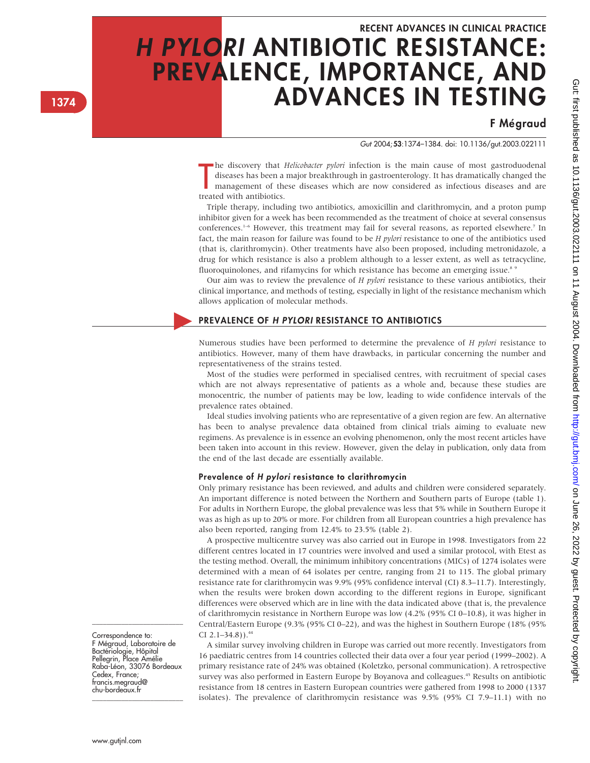# RECENT ADVANCES IN CLINICAL PRACTICE H PYLORI ANTIBIOTIC RESISTANCE: PREVALENCE, IMPORTANCE, AND ADVANCES IN TESTING

# **F** Mégraud

Gut 2004;53:1374–1384. doi: 10.1136/gut.2003.022111

the discovery that a diseases has been a management of the treated with antibiotics. the discovery that Helicobacter pylori infection is the main cause of most gastroduodenal diseases has been a major breakthrough in gastroenterology. It has dramatically changed the management of these diseases which are now considered as infectious diseases and are

Triple therapy, including two antibiotics, amoxicillin and clarithromycin, and a proton pump inhibitor given for a week has been recommended as the treatment of choice at several consensus conferences.<sup>1-6</sup> However, this treatment may fail for several reasons, as reported elsewhere.<sup>7</sup> In fact, the main reason for failure was found to be H pylori resistance to one of the antibiotics used (that is, clarithromycin). Other treatments have also been proposed, including metronidazole, a drug for which resistance is also a problem although to a lesser extent, as well as tetracycline, fluoroquinolones, and rifamycins for which resistance has become an emerging issue. $8<sup>8</sup>$ 

Our aim was to review the prevalence of  $H$  pylori resistance to these various antibiotics, their clinical importance, and methods of testing, especially in light of the resistance mechanism which allows application of molecular methods.

# PREVALENCE OF H PYLORI RESISTANCE TO ANTIBIOTICS

Numerous studies have been performed to determine the prevalence of  $H$  pylori resistance to antibiotics. However, many of them have drawbacks, in particular concerning the number and representativeness of the strains tested.

Most of the studies were performed in specialised centres, with recruitment of special cases which are not always representative of patients as a whole and, because these studies are monocentric, the number of patients may be low, leading to wide confidence intervals of the prevalence rates obtained.

Ideal studies involving patients who are representative of a given region are few. An alternative has been to analyse prevalence data obtained from clinical trials aiming to evaluate new regimens. As prevalence is in essence an evolving phenomenon, only the most recent articles have been taken into account in this review. However, given the delay in publication, only data from the end of the last decade are essentially available.

# Prevalence of H pylori resistance to clarithromycin

Only primary resistance has been reviewed, and adults and children were considered separately. An important difference is noted between the Northern and Southern parts of Europe (table 1). For adults in Northern Europe, the global prevalence was less that 5% while in Southern Europe it was as high as up to 20% or more. For children from all European countries a high prevalence has also been reported, ranging from 12.4% to 23.5% (table 2).

A prospective multicentre survey was also carried out in Europe in 1998. Investigators from 22 different centres located in 17 countries were involved and used a similar protocol, with Etest as the testing method. Overall, the minimum inhibitory concentrations (MICs) of 1274 isolates were determined with a mean of 64 isolates per centre, ranging from 21 to 115. The global primary resistance rate for clarithromycin was 9.9% (95% confidence interval (CI) 8.3–11.7). Interestingly, when the results were broken down according to the different regions in Europe, significant differences were observed which are in line with the data indicated above (that is, the prevalence of clarithromycin resistance in Northern Europe was low (4.2% (95% CI 0–10.8), it was higher in Central/Eastern Europe (9.3% (95% CI 0–22), and was the highest in Southern Europe (18% (95% CI  $2.1 - 34.8$ ).<sup>44</sup>

A similar survey involving children in Europe was carried out more recently. Investigators from 16 paediatric centres from 14 countries collected their data over a four year period (1999–2002). A primary resistance rate of 24% was obtained (Koletzko, personal communication). A retrospective survey was also performed in Eastern Europe by Boyanova and colleagues.<sup>45</sup> Results on antibiotic resistance from 18 centres in Eastern European countries were gathered from 1998 to 2000 (1337 isolates). The prevalence of clarithromycin resistance was 9.5% (95% CI 7.9–11.1) with no

Correspondence to: F Mégraud, Laboratoire de Bactériologie, Hôpital Pellegrin, Place Amélie Raba-Le´on, 33076 Bordeaux Cedex, France; francis.megraud@ chu-bordeaux.fr

\_\_\_\_\_\_\_\_\_\_\_\_\_\_\_\_\_\_\_\_\_\_\_\_\_

\_\_\_\_\_\_\_\_\_\_\_\_\_\_\_\_\_\_\_\_\_\_\_\_\_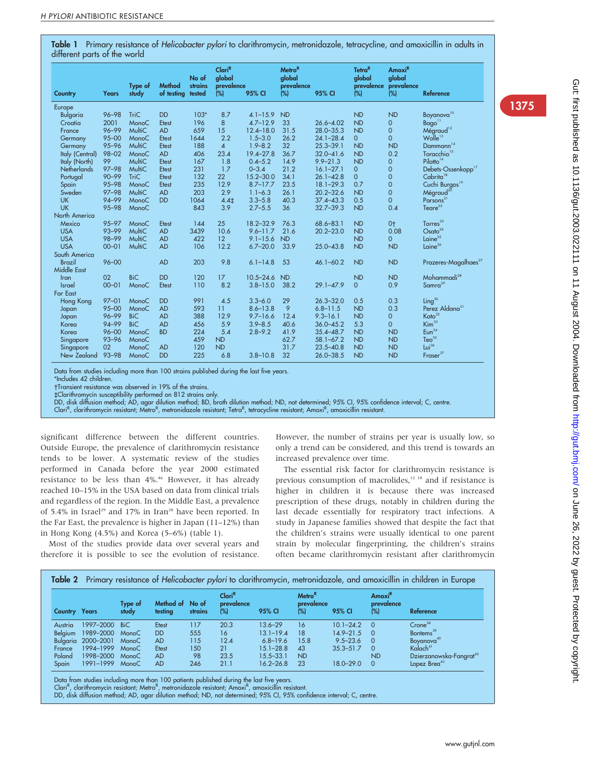Table 1 Primary resistance of Helicobacter pylori to clarithromycin, metronidazole, tetracycline, and amoxicillin in adults in different parts of the world

|                    |              |                  |                      | No of             | Clari <sup>R</sup><br>global |               | <b>Metro<sup>R</sup></b><br>qlobal |               | Tetra <sup>R</sup><br>qlobal | Amoxi <sup>R</sup><br>global |                                   |
|--------------------|--------------|------------------|----------------------|-------------------|------------------------------|---------------|------------------------------------|---------------|------------------------------|------------------------------|-----------------------------------|
| Country            | <b>Years</b> | Type of<br>study | Method<br>of testing | strains<br>tested | prevalence<br>(%)            | 95% CI        | prevalence<br>$(\%)$               | 95% CI        | (%)                          | prevalence prevalence<br>(%) | <b>Reference</b>                  |
| Europe             |              |                  |                      |                   |                              |               |                                    |               |                              |                              |                                   |
| <b>Bulgaria</b>    | $96 - 98$    | <b>TriC</b>      | <b>DD</b>            | $103*$            | 8.7                          | $4.1 - 15.9$  | <b>ND</b>                          |               | <b>ND</b>                    | <b>ND</b>                    | Boyanova <sup>10</sup>            |
| Croatia            | 2001         | MonoC            | Etest                | 196               | 8                            | $4.7 - 12.9$  | 33                                 | $26.6 - 4.02$ | <b>ND</b>                    | $\mathbf{0}$                 | Bago <sup>11</sup>                |
| France             | $96 - 99$    | MultiC           | <b>AD</b>            | 659               | 15                           | $12.4 - 18.0$ | 31.5                               | $28.0 - 35.3$ | <b>ND</b>                    | $\overline{0}$               | Mégraud <sup>12</sup>             |
| Germany            | $95 - 00$    | MonoC            | Etest                | 1644              | 2.2                          | $1.5 - 3.0$   | 26.2                               | $24.1 - 28.4$ | $\overline{0}$               | $\overline{0}$               | Wolle <sup>13</sup>               |
| Germany            | $95 - 96$    | MultiC           | Etest                | 188               | $\overline{4}$               | $1.9 - 8.2$   | 32                                 | $25.3 - 39.1$ | <b>ND</b>                    | <b>ND</b>                    | D <sub>ammann</sub> <sup>14</sup> |
| Italy (Central)    | $98 - 02$    | MonoC            | <b>AD</b>            | 406               | 23.4                         | $19.4 - 27.8$ | 36.7                               | $32.0 - 41.6$ | <b>ND</b>                    | 0.2                          | Toracchio <sup>15</sup>           |
| Italy (North)      | 99           | MultiC           | Etest                | 167               | 1.8                          | $0.4 - 5.2$   | 14.9                               | $9.9 - 21.3$  | <b>ND</b>                    | $\overline{0}$               | Pilotto <sup>16</sup>             |
| <b>Netherlands</b> | $97 - 98$    | MultiC           | Etest                | 231               | 1.7                          | $0 - 3.4$     | 21.2                               | $16.1 - 27.1$ | $\mathbf{0}$                 | $\mathbf 0$                  | Debets-Ossenkopp <sup>17</sup>    |
| Portugal           | $90 - 99$    | <b>TriC</b>      | <b>Etest</b>         | 132               | 22                           | $15.2 - 30.0$ | 34.1                               | $26.1 - 42.8$ | $\mathbf{O}$                 | $\mathbf 0$                  | Cabrita <sup>18</sup>             |
| Spain              | $95 - 98$    | MonoC            | Etest                | 235               | 12.9                         | $8.7 - 17.7$  | 23.5                               | $18.1 - 29.3$ | 0.7                          | $\mathbf 0$                  | Cuchi Burgos <sup>19</sup>        |
| Sweden             | $97 - 98$    | MultiC           | <b>AD</b>            | 203               | 2.9                          | $1.1 - 6.3$   | 26.1                               | $20.2 - 32.6$ | <b>ND</b>                    | $\mathbf 0$                  | Mégraud <sup>20</sup>             |
| <b>UK</b>          | $94 - 99$    | MonoC            | <b>DD</b>            | 1064              | $4.4+$                       | $3.3 - 5.8$   | 40.3                               | $37.4 - 43.3$ | 0.5                          | $\mathbf 0$                  | Parsons <sup>21</sup>             |
| <b>UK</b>          | $95 - 98$    | MonoC            |                      | 843               | 3.9                          | $2.7 - 5.5$   | 36                                 | $32.7 - 39.3$ | <b>ND</b>                    | 0.4                          | Teare $^{22}$                     |
| North America      |              |                  |                      |                   |                              |               |                                    |               |                              |                              |                                   |
| Mexico             | $95 - 97$    | MonoC            | <b>Etest</b>         | 144               | 25                           | 18.2-32.9     | 76.3                               | $68.6 - 83.1$ | <b>ND</b>                    | $0+$                         | Torres <sup>23</sup>              |
| <b>USA</b>         | $93 - 99$    | MultiC           | <b>AD</b>            | 3439              | 10.6                         | $9.6 - 11.7$  | 21.6                               | $20.2 - 23.0$ | <b>ND</b>                    | 0.08                         | Osato <sup>24</sup>               |
| <b>USA</b>         | $98 - 99$    | MultiC           | <b>AD</b>            | 422               | 12                           | $9.1 - 15.6$  | <b>ND</b>                          |               | <b>ND</b>                    | $\mathbf{O}$                 | Laine $^{25}$                     |
| <b>USA</b>         | $00 - 01$    | MultiC           | <b>AD</b>            | 106               | 12.2                         | $6.7 - 20.0$  | 33.9                               | $25.0 - 43.8$ | <b>ND</b>                    | <b>ND</b>                    | Laine <sup>26</sup>               |
| South America      |              |                  |                      |                   |                              |               |                                    |               |                              |                              |                                   |
| <b>Brazil</b>      | $96 - 00$    |                  | <b>AD</b>            | 203               | 9.8                          | $6.1 - 14.8$  | 53                                 | $46.1 - 60.2$ | <b>ND</b>                    | <b>ND</b>                    | Prazeres-Magalhaes <sup>27</sup>  |
| Middle East        |              |                  |                      |                   |                              |               |                                    |               |                              |                              |                                   |
| Iran               | 02           | <b>BiC</b>       | <b>DD</b>            | 120               | 17                           | $10.5 - 24.6$ | <b>ND</b>                          |               | <b>ND</b>                    | <b>ND</b>                    | Mohammadi <sup>28</sup>           |
| <b>Israel</b>      | $00 - 01$    | MonoC            | Etest                | 110               | 8.2                          | $3.8 - 15.0$  | 38.2                               | $29.1 - 47.9$ | $\Omega$                     | 0.9                          | S <sub>amra</sub> <sup>29</sup>   |
| <b>Far East</b>    |              |                  |                      |                   |                              |               |                                    |               |                              |                              |                                   |
| Hong Kong          | $97 - 01$    | MonoC            | <b>DD</b>            | 991               | 4.5                          | $3.3 - 6.0$   | 29                                 | $26.3 - 32.0$ | 0.5                          | 0.3                          | Ling <sup>30</sup>                |
| Japan              | $95 - 00$    | MonoC            | <b>AD</b>            | 593               | 11                           | $8.6 - 13.8$  | 9                                  | $6.8 - 11.5$  | <b>ND</b>                    | 0.3                          | Perez Aldana <sup>31</sup>        |
| Japan              | $96 - 99$    | <b>BiC</b>       | <b>AD</b>            | 388               | 12.9                         | $9.7 - 16.6$  | 12.4                               | $9.3 - 16.1$  | <b>ND</b>                    | $\mathbf 0$                  | Kato <sup>32</sup>                |
| Korea              | $94 - 99$    | <b>BiC</b>       | <b>AD</b>            | 456               | 5.9                          | $3.9 - 8.5$   | 40.6                               | $36.0 - 45.2$ | 5.3                          | $\mathbf{O}$                 | Kim <sup>33</sup>                 |
| Korea              | $96 - 00$    | MonoC            | <b>BD</b>            | 224               | 5.4                          | $2.8 - 9.2$   | 41.9                               | $35.4 - 48.7$ | <b>ND</b>                    | <b>ND</b>                    | Eun <sup>34</sup>                 |
| Singapore          | $93 - 96$    | MonoC            |                      | 459               | <b>ND</b>                    |               | 62.7                               | $58.1 - 67.2$ | <b>ND</b>                    | <b>ND</b>                    | Teo <sup>35</sup>                 |
| Singapore          | 02           | MonoC            | <b>AD</b>            | 120               | <b>ND</b>                    |               | 31.7                               | $23.5 - 40.8$ | <b>ND</b>                    | <b>ND</b>                    | Lui <sup>36</sup>                 |
| New Zealand        | $93 - 98$    | MonoC            | <b>DD</b>            | 225               | 6.8                          | $3.8 - 10.8$  | 32                                 | $26.0 - 38.5$ | <b>ND</b>                    | <b>ND</b>                    | Fraser <sup>37</sup>              |

Data from studies including more than 100 strains published during the last five years.

\*Includes 42 children.

Transient resistance was observed in 19% of the strains. `Clarithromycin susceptibility performed on 812 strains only.

DD, disk diffusion method; AD, agar dilution method; BD, broth dilution method; ND, not determined; 95% CI, 95% confidence interval; C, centre.

Clari<sup>R</sup>, clarithromycin resistant; Metro<sup>R</sup>, metronidazole resistant; Tetra<sup>R</sup>, tetracycline resistant; Amoxi<sup>R</sup>, amoxicillin resistant.

significant difference between the different countries. Outside Europe, the prevalence of clarithromycin resistance tends to be lower. A systematic review of the studies performed in Canada before the year 2000 estimated resistance to be less than 4%.<sup>46</sup> However, it has already reached 10–15% in the USA based on data from clinical trials and regardless of the region. In the Middle East, a prevalence of 5.4% in Israel<sup>29</sup> and 17% in Iran<sup>28</sup> have been reported. In the Far East, the prevalence is higher in Japan (11–12%) than in Hong Kong (4.5%) and Korea (5–6%) (table 1).

Most of the studies provide data over several years and therefore it is possible to see the evolution of resistance.

However, the number of strains per year is usually low, so only a trend can be considered, and this trend is towards an increased prevalence over time.

The essential risk factor for clarithromycin resistance is previous consumption of macrolides,<sup>12 18</sup> and if resistance is higher in children it is because there was increased prescription of these drugs, notably in children during the last decade essentially for respiratory tract infections. A study in Japanese families showed that despite the fact that the children's strains were usually identical to one parent strain by molecular fingerprinting, the children's strains often became clarithromycin resistant after clarithromycin

|                      | Table 2 Primary resistance of Helicobacter pylori to clarithromycin, metronidazole, and amoxicillin in children in Europe |                  |                            |                |                                         |               |                                                   |               |                                                   |                                     |
|----------------------|---------------------------------------------------------------------------------------------------------------------------|------------------|----------------------------|----------------|-----------------------------------------|---------------|---------------------------------------------------|---------------|---------------------------------------------------|-------------------------------------|
| <b>Country Years</b> |                                                                                                                           | Type of<br>study | Method of No of<br>testing | <b>strains</b> | Clari <sup>R</sup><br>prevalence<br>(%) | 95% CI        | Metro <sup>R</sup><br>prevalence<br>$\frac{1}{2}$ | 95% CI        | Amoxi <sup>R</sup><br>prevalence<br>$\frac{1}{2}$ | Reference                           |
| Austria              | 1997-2000                                                                                                                 | <b>BiC</b>       | Etest                      | 117            | 20.3                                    | $13.6 - 29$   | 16                                                | $10.1 - 24.2$ | $\Omega$                                          | $C$ rone $38$                       |
| Belgium              | 1989-2000                                                                                                                 | MonoC            | DD                         | 555            | 16                                      | $13.1 - 19.4$ | 18                                                | $14.9 - 21.5$ | $\Omega$                                          | Bontems <sup>39</sup>               |
| Bulgaria             | 2000-2001                                                                                                                 | <b>MonoC</b>     | <b>AD</b>                  | 115            | 12.4                                    | $6.8 - 19.6$  | 15.8                                              | $9.5 - 23.6$  | $\Omega$                                          | Boyanova <sup>40</sup>              |
| France               | 1994–1999                                                                                                                 | MonoC            | <b>E</b> test              | 150            | 21                                      | $15.1 - 28.8$ | 43                                                | $35.3 - 51.7$ | $\Omega$                                          | Kalach <sup>41</sup>                |
| Poland               | 1998-2000                                                                                                                 | <b>MonoC</b>     | <b>AD</b>                  | 98             | 23.5                                    | $15.5 - 33.1$ | <b>ND</b>                                         |               | <b>ND</b>                                         | Dzierzanowska-Fangrat <sup>42</sup> |
| Spain                | 1991–1999                                                                                                                 | MonoC            | <b>AD</b>                  | 246            | 21.1                                    | $16.2 - 26.8$ | -23                                               | $18.0 - 29.0$ | $\Omega$                                          | Lopez $Brea43$                      |

Data from studies including more than 100 patients published during the last five years.

Clari<sup>R</sup>, clarithromycin resistant; Metro<sup>R</sup>, metronidazole resistant; Amoxi<sup>R</sup>, amoxicillin resistant.

DD, disk diffusion method; AD, agar dilution method; ND, not determined; 95% CI, 95% confidence interval; C, centre.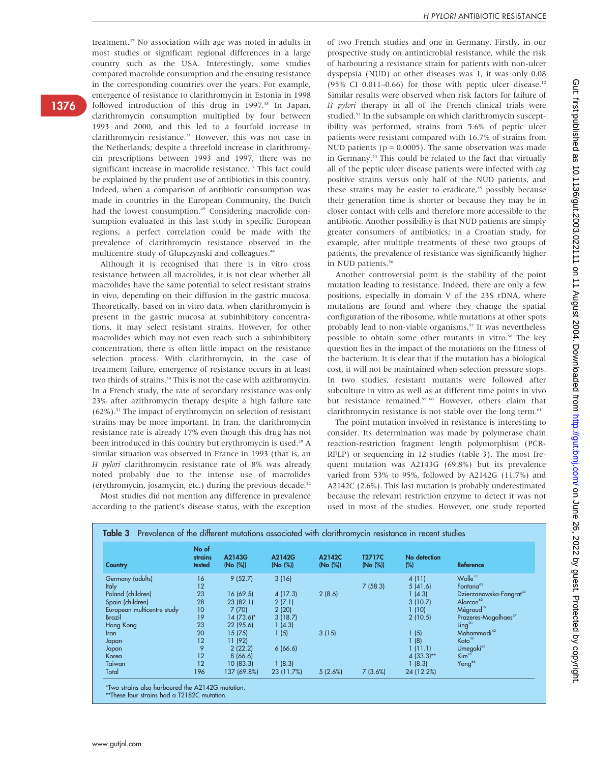treatment.47 No association with age was noted in adults in most studies or significant regional differences in a large country such as the USA. Interestingly, some studies compared macrolide consumption and the ensuing resistance in the corresponding countries over the years. For example, emergence of resistance to clarithromycin in Estonia in 1998 followed introduction of this drug in 1997.<sup>48</sup> In Japan, clarithromycin consumption multiplied by four between 1993 and 2000, and this led to a fourfold increase in clarithromycin resistance.<sup>31</sup> However, this was not case in the Netherlands; despite a threefold increase in clarithromycin prescriptions between 1993 and 1997, there was no significant increase in macrolide resistance.<sup>17</sup> This fact could be explained by the prudent use of antibiotics in this country. Indeed, when a comparison of antibiotic consumption was made in countries in the European Community, the Dutch had the lowest consumption.<sup>49</sup> Considering macrolide consumption evaluated in this last study in specific European regions, a perfect correlation could be made with the prevalence of clarithromycin resistance observed in the multicentre study of Glupczynski and colleagues.<sup>44</sup>

Although it is recognised that there is in vitro cross resistance between all macrolides, it is not clear whether all macrolides have the same potential to select resistant strains in vivo, depending on their diffusion in the gastric mucosa. Theoretically, based on in vitro data, when clarithromycin is present in the gastric mucosa at subinhibitory concentrations, it may select resistant strains. However, for other macrolides which may not even reach such a subinhibitory concentration, there is often little impact on the resistance selection process. With clarithromycin, in the case of treatment failure, emergence of resistance occurs in at least two thirds of strains.<sup>50</sup> This is not the case with azithromycin. In a French study, the rate of secondary resistance was only 23% after azithromycin therapy despite a high failure rate  $(62\%)$ .<sup>51</sup> The impact of erythromycin on selection of resistant strains may be more important. In Iran, the clarithromycin resistance rate is already 17% even though this drug has not been introduced in this country but erythromycin is used.<sup>28</sup> A similar situation was observed in France in 1993 (that is, an H pylori clarithromycin resistance rate of 8% was already noted probably due to the intense use of macrolides (erythromycin, josamycin, etc.) during the previous decade.52

Most studies did not mention any difference in prevalence according to the patient's disease status, with the exception of two French studies and one in Germany. Firstly, in our prospective study on antimicrobial resistance, while the risk of harbouring a resistance strain for patients with non-ulcer dyspepsia (NUD) or other diseases was 1, it was only 0.08 (95% CI 0.011-0.66) for those with peptic ulcer disease.<sup>12</sup> Similar results were observed when risk factors for failure of H pylori therapy in all of the French clinical trials were studied.<sup>53</sup> In the subsample on which clarithromycin susceptibility was performed, strains from 5.6% of peptic ulcer patients were resistant compared with 16.7% of strains from NUD patients ( $p = 0.0005$ ). The same observation was made in Germany.<sup>54</sup> This could be related to the fact that virtually all of the peptic ulcer disease patients were infected with cag positive strains versus only half of the NUD patients, and these strains may be easier to eradicate,<sup>55</sup> possibly because their generation time is shorter or because they may be in closer contact with cells and therefore more accessible to the antibiotic. Another possibility is that NUD patients are simply greater consumers of antibiotics; in a Croatian study, for example, after multiple treatments of these two groups of patients, the prevalence of resistance was significantly higher in NUD patients.<sup>56</sup>

Another controversial point is the stability of the point mutation leading to resistance. Indeed, there are only a few positions, especially in domain V of the 23S rDNA, where mutations are found and where they change the spatial configuration of the ribosome, while mutations at other spots probably lead to non-viable organisms.<sup>57</sup> It was nevertheless possible to obtain some other mutants in vitro.<sup>58</sup> The key question lies in the impact of the mutations on the fitness of the bacterium. It is clear that if the mutation has a biological cost, it will not be maintained when selection pressure stops. In two studies, resistant mutants were followed after subculture in vitro as well as at different time points in vivo but resistance remained.<sup>59 60</sup> However, others claim that clarithromycin resistance is not stable over the long term.<sup>61</sup>

The point mutation involved in resistance is interesting to consider. Its determination was made by polymerase chain reaction-restriction fragment length polymorphism (PCR-RFLP) or sequencing in 12 studies (table 3). The most frequent mutation was A2143G (69.8%) but its prevalence varied from 53% to 95%, followed by A2142G (11.7%) and A2142C (2.6%). This last mutation is probably underestimated because the relevant restriction enzyme to detect it was not used in most of the studies. However, one study reported

| Country                    | No of<br><b>strains</b><br>tested | A2143G<br>(No (%)) | A2142G<br>(No (%)) | A2142C<br>(No (%)) | <b>T2717C</b><br>(No (%)) | No detection<br>$(\%)$ | Reference                               |
|----------------------------|-----------------------------------|--------------------|--------------------|--------------------|---------------------------|------------------------|-----------------------------------------|
| Germany (adults)           | 16                                | 9(52.7)            | 3(16)              |                    |                           | 4(11)                  | Wolle <sup>13</sup>                     |
| <b>Italy</b>               | 12                                |                    |                    |                    | 7(58.3)                   | 5(41.6)                | Fontana <sup>62</sup>                   |
| Poland (children)          | 23                                | 16 (69.5)          | 4(17.3)            | 2(8.6)             |                           | 1(4.3)                 | Dzierzanowska-Fangrat <sup>42</sup>     |
| Spain (children)           | 28                                | 23(82.1)           | 2(7.1)             |                    |                           | 3(10.7)                | Alarcon <sup>63</sup>                   |
| European multicentre study | 10                                | 7(70)              | 2(20)              |                    |                           | 1(10)                  | Mégraud <sup>19</sup>                   |
| Brazil                     | 19                                | 14 (73.6)*         | 3(18.7)            |                    |                           | 2(10.5)                | Prazeres-Magalhaes <sup>27</sup>        |
| Hong Kong                  | 23                                | 22 (95.6)          | 1(4.3)             |                    |                           |                        | $\mathsf{Linq}^{\scriptscriptstyle 30}$ |
| Iran                       | 20                                | 15(75)             | 1(5)               | 3(15)              |                           | 1(5)                   | Mohammadi <sup>42</sup>                 |
| Japan                      | 12                                | 11 (92)            |                    |                    |                           | (8)                    | Kato <sup>32</sup>                      |
| Japan                      | 9                                 | 2(22.2)            | 6(66.6)            |                    |                           | 1(11.1)                | Umegaki <sup>64</sup>                   |
| Korea                      | 12                                | 8(66.6)            |                    |                    |                           | $4(33.3)**$            | Kim <sup>65</sup>                       |
| Taiwan                     | 12                                | 10(83.3)           | 1(8.3)             |                    |                           | 1(8.3)                 | Yang <sup>66</sup>                      |
| Total                      | 196                               | 137 (69.8%)        | 23 (11.7%)         | 5(2.6%)            | 7(3.6%)                   | 24 (12.2%)             |                                         |

\*Two strains also harboured the A2142G mutation.

\*\*These four strains had a T2182C mutation.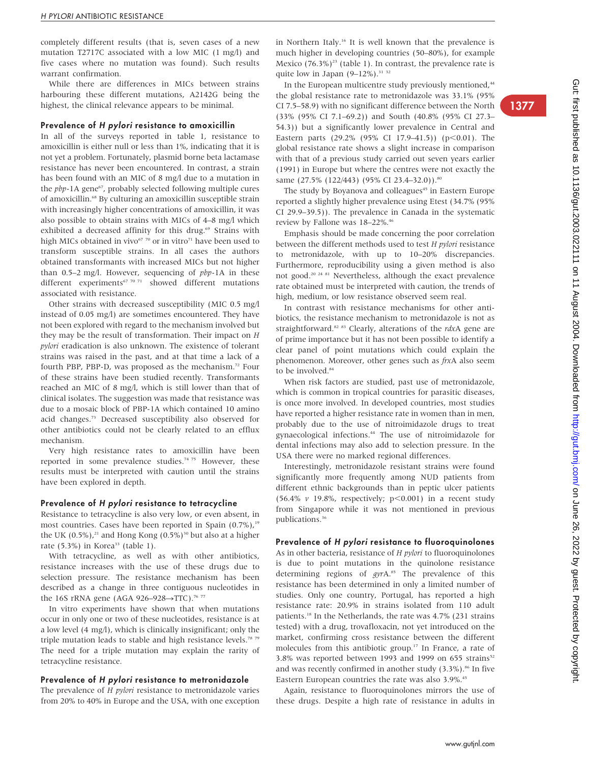1377

completely different results (that is, seven cases of a new mutation T2717C associated with a low MIC (1 mg/l) and five cases where no mutation was found). Such results warrant confirmation.

While there are differences in MICs between strains harbouring these different mutations, A2142G being the highest, the clinical relevance appears to be minimal.

#### Prevalence of H pylori resistance to amoxicillin

In all of the surveys reported in table 1, resistance to amoxicillin is either null or less than 1%, indicating that it is not yet a problem. Fortunately, plasmid borne beta lactamase resistance has never been encountered. In contrast, a strain has been found with an MIC of 8 mg/l due to a mutation in the pbp-1A gene<sup>67</sup>, probably selected following multiple cures of amoxicillin.68 By culturing an amoxicillin susceptible strain with increasingly higher concentrations of amoxicillin, it was also possible to obtain strains with MICs of 4–8 mg/l which exhibited a decreased affinity for this drug.<sup>69</sup> Strains with high MICs obtained in vivo<sup>67</sup> <sup>70</sup> or in vitro<sup>71</sup> have been used to transform susceptible strains. In all cases the authors obtained transformants with increased MICs but not higher than  $0.5-2$  mg/l. However, sequencing of  $pbp-1A$  in these different experiments<sup>67 70 71</sup> showed different mutations associated with resistance.

Other strains with decreased susceptibility (MIC 0.5 mg/l instead of 0.05 mg/l) are sometimes encountered. They have not been explored with regard to the mechanism involved but they may be the result of transformation. Their impact on H pylori eradication is also unknown. The existence of tolerant strains was raised in the past, and at that time a lack of a fourth PBP, PBP-D, was proposed as the mechanism.<sup>72</sup> Four of these strains have been studied recently. Transformants reached an MIC of 8 mg/l, which is still lower than that of clinical isolates. The suggestion was made that resistance was due to a mosaic block of PBP-1A which contained 10 amino acid changes.73 Decreased susceptibility also observed for other antibiotics could not be clearly related to an efflux mechanism.

Very high resistance rates to amoxicillin have been reported in some prevalence studies.<sup>74 75</sup> However, these results must be interpreted with caution until the strains have been explored in depth.

#### Prevalence of H pylori resistance to tetracycline

Resistance to tetracycline is also very low, or even absent, in most countries. Cases have been reported in Spain  $(0.7\%)$ ,<sup>19</sup> the UK (0.5%),<sup>21</sup> and Hong Kong (0.5%)<sup>30</sup> but also at a higher rate (5.3%) in Korea<sup>33</sup> (table 1).

With tetracycline, as well as with other antibiotics, resistance increases with the use of these drugs due to selection pressure. The resistance mechanism has been described as a change in three contiguous nucleotides in the 16S rRNA gene (AGA 926-928->TTC).<sup>76 77</sup>

In vitro experiments have shown that when mutations occur in only one or two of these nucleotides, resistance is at a low level (4 mg/l), which is clinically insignificant; only the triple mutation leads to stable and high resistance levels.<sup>78 79</sup> The need for a triple mutation may explain the rarity of tetracycline resistance.

#### Prevalence of H pylori resistance to metronidazole

The prevalence of *H pylori* resistance to metronidazole varies from 20% to 40% in Europe and the USA, with one exception in Northern Italy.16 It is well known that the prevalence is much higher in developing countries (50–80%), for example Mexico  $(76.3\%)^{23}$  (table 1). In contrast, the prevalence rate is quite low in Japan  $(9-12\%)$ .<sup>31 32</sup>

In the European multicentre study previously mentioned,<sup>44</sup> the global resistance rate to metronidazole was 33.1% (95% CI 7.5–58.9) with no significant difference between the North (33% (95% CI 7.1–69.2)) and South (40.8% (95% CI 27.3– 54.3)) but a significantly lower prevalence in Central and Eastern parts (29.2% (95% CI 17.9–41.5)) (p $<$ 0.01). The global resistance rate shows a slight increase in comparison with that of a previous study carried out seven years earlier (1991) in Europe but where the centres were not exactly the same (27.5% (122/443) (95% CI 23.4-32.0)).<sup>80</sup>

The study by Boyanova and colleagues<sup>45</sup> in Eastern Europe reported a slightly higher prevalence using Etest (34.7% (95% CI 29.9–39.5)). The prevalence in Canada in the systematic review by Fallone was 18–22%.46

Emphasis should be made concerning the poor correlation between the different methods used to test H pylori resistance to metronidazole, with up to 10–20% discrepancies. Furthermore, reproducibility using a given method is also not good.20 24 81 Nevertheless, although the exact prevalence rate obtained must be interpreted with caution, the trends of high, medium, or low resistance observed seem real.

In contrast with resistance mechanisms for other antibiotics, the resistance mechanism to metronidazole is not as straightforward.<sup>82</sup> <sup>83</sup> Clearly, alterations of the rdxA gene are of prime importance but it has not been possible to identify a clear panel of point mutations which could explain the phenomenon. Moreover, other genes such as frxA also seem to be involved.<sup>84</sup>

When risk factors are studied, past use of metronidazole, which is common in tropical countries for parasitic diseases, is once more involved. In developed countries, most studies have reported a higher resistance rate in women than in men, probably due to the use of nitroimidazole drugs to treat gynaecological infections.44 The use of nitroimidazole for dental infections may also add to selection pressure. In the USA there were no marked regional differences.

Interestingly, metronidazole resistant strains were found significantly more frequently among NUD patients from different ethnic backgrounds than in peptic ulcer patients (56.4%  $\nu$  19.8%, respectively;  $p<0.001$ ) in a recent study from Singapore while it was not mentioned in previous publications.<sup>36</sup>

#### Prevalence of H pylori resistance to fluoroquinolones

As in other bacteria, resistance of H pylori to fluoroquinolones is due to point mutations in the quinolone resistance determining regions of gyrA.<sup>85</sup> The prevalence of this resistance has been determined in only a limited number of studies. Only one country, Portugal, has reported a high resistance rate: 20.9% in strains isolated from 110 adult patients.<sup>18</sup> In the Netherlands, the rate was 4.7% (231 strains tested) with a drug, trovafloxacin, not yet introduced on the market, confirming cross resistance between the different molecules from this antibiotic group.<sup>17</sup> In France, a rate of 3.8% was reported between 1993 and 1999 on 655 strains $52$ and was recently confirmed in another study  $(3.3\%)$ .<sup>86</sup> In five Eastern European countries the rate was also 3.9%.<sup>45</sup>

Again, resistance to fluoroquinolones mirrors the use of these drugs. Despite a high rate of resistance in adults in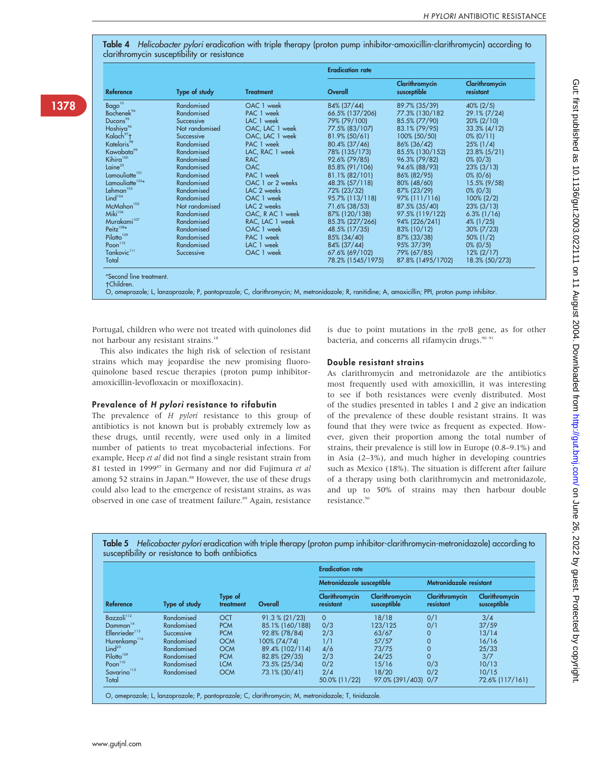Table 4 Helicobacter pylori eradication with triple therapy (proton pump inhibitor-amoxicillin-clarithromycin) according to clarithromycin susceptibility or resistance

| <b>Service Service Service Service Service</b> |  |  |
|------------------------------------------------|--|--|
|                                                |  |  |

|                             |                |                  | <b>Eradication rate</b> |                               |                             |
|-----------------------------|----------------|------------------|-------------------------|-------------------------------|-----------------------------|
| <b>Reference</b>            | Type of study  | <b>Treatment</b> | Overall                 | Clarithromycin<br>susceptible | Clarithromycin<br>resistant |
| Bago <sup>10</sup>          | Randomised     | OAC 1 week       | 84% (37/44)             | 89.7% (35/39)                 | $40\%$ (2/5)                |
| Bochenek <sup>94</sup>      | Randomised     | PAC 1 week       | 66.5% (137/206)         | 77.3% (130/182                | 29.1% (7/24)                |
| Ducons <sup>95</sup>        | Successive     | LAC 1 week       | 79% (79/100)            | 85.5% (77/90)                 | $20\%$ (2/10)               |
| Hoshiya <sup>%</sup>        | Not randomised | OAC, LAC 1 week  | 77.5% (83/107)          | 83.1% (79/95)                 | $33.3\%$ (4/12)             |
| Kalach <sup>97</sup> t      | Successive     | OAC, LAC 1 week  | 81.9% (50/61)           | 100% (50/50)                  | $0\%$ (0/11)                |
| Katelaris <sup>98</sup>     | Randomised     | PAC 1 week       | 80.4% (37/46)           | 86% (36/42)                   | $25\%$ (1/4)                |
| Kawabata <sup>99</sup>      | Randomised     | LAC, RAC 1 week  | 78% (135/173)           | 85.5% (130/152)               | $23.8\%$ (5/21)             |
| Kihira <sup>100</sup>       | Randomised     | <b>RAC</b>       | 92.6% (79/85)           | 96.3% (79/82)                 | $0\%$ (0/3)                 |
| Laine <sup>25</sup>         | Randomised     | <b>OAC</b>       | 85.8% (91/106)          | 94.6% (88/93)                 | $23\%$ (3/13)               |
| Lamouliatte <sup>101</sup>  | Randomised     | PAC 1 week       | 81.1% (82/101)          | 86% (82/95)                   | $0\%$ (0/6)                 |
| Lamouliatte <sup>102*</sup> | Randomised     | OAC 1 or 2 weeks | 48.3% (57/118)          | 80% (48/60)                   | $15.5\%$ (9/58)             |
| Lehman <sup>103</sup>       | Randomised     | LAC 2 weeks      | 72% (23/32)             | 87% (23/29)                   | $0\%$ (0/3)                 |
| Lind <sup>104</sup>         | Randomised     | OAC 1 week       | 95.7% (113/118)         | 97% (111/116)                 | $100\% (2/2)$               |
| McMahon <sup>105</sup>      | Not randomised | LAC 2 weeks      | 71.6% (38/53)           | 87.5% (35/40)                 | $23\%$ (3/13)               |
| Miki <sup>106</sup>         | Randomised     | OAC, R AC 1 week | 87% (120/138)           | 97.5% (119/122)               | $6.3\%$ (1/16)              |
| Murakami <sup>107</sup>     | Randomised     | RAC, LAC 1 week  | 85.3% (227/266)         | 94% (226/241)                 | $4\%$ (1/25)                |
| Peitz $108*$                | Randomised     | OAC 1 week       | 48.5% (17/35)           | 83% (10/12)                   | $30\%$ (7/23)               |
| Pilotto <sup>109</sup>      | Randomised     | PAC 1 week       | 85% (34/40)             | 87% (33/38)                   | $50\%$ (1/2)                |
| Poon <sup>110</sup>         | Randomised     | LAC 1 week       | 84% (37/44)             | 95% 37/39)                    | $0\%$ (0/5)                 |
| Tankovic <sup>111</sup>     | Successive     | OAC 1 week       | 67.6% (69/102)          | 79% (67/85)                   | $12\% (2/17)$               |
| Total                       |                |                  | 78.2% (1545/1975)       | 87.8% (1495/1702)             | 18.3% (50/273)              |

Children.

O, omeprazole; L, lanzoprazole; P, pantoprazole; C, clarithromycin; M, metronidazole; R, ranitidine; A, amoxicillin; PPI, proton pump inhibitor.

Portugal, children who were not treated with quinolones did not harbour any resistant strains.<sup>18</sup>

This also indicates the high risk of selection of resistant strains which may jeopardise the new promising fluoroquinolone based rescue therapies (proton pump inhibitoramoxicillin-levofloxacin or moxifloxacin).

### Prevalence of H pylori resistance to rifabutin

The prevalence of H pylori resistance to this group of antibiotics is not known but is probably extremely low as these drugs, until recently, were used only in a limited number of patients to treat mycobacterial infections. For example, Heep et al did not find a single resistant strain from 81 tested in 1999<sup>87</sup> in Germany and nor did Fujimura et al among 52 strains in Japan.<sup>88</sup> However, the use of these drugs could also lead to the emergence of resistant strains, as was observed in one case of treatment failure.<sup>89</sup> Again, resistance

is due to point mutations in the rpoB gene, as for other bacteria, and concerns all rifamycin drugs.<sup>90 91</sup>

#### Double resistant strains

As clarithromycin and metronidazole are the antibiotics most frequently used with amoxicillin, it was interesting to see if both resistances were evenly distributed. Most of the studies presented in tables 1 and 2 give an indication of the prevalence of these double resistant strains. It was found that they were twice as frequent as expected. However, given their proportion among the total number of strains, their prevalence is still low in Europe (0.8–9.1%) and in Asia (2–3%), and much higher in developing countries such as Mexico (18%). The situation is different after failure of a therapy using both clarithromycin and metronidazole, and up to 50% of strains may then harbour double resistance.<sup>50</sup>

Table 5 Helicobacter pylori eradication with triple therapy (proton pump inhibitor-clarithromycin-metronidazole) according to susceptibility or resistance to both antibiotics

|                            |               |                      |                 | <b>Eradication rate</b>     |                               |                             |                               |  |  |  |
|----------------------------|---------------|----------------------|-----------------|-----------------------------|-------------------------------|-----------------------------|-------------------------------|--|--|--|
| Reference                  |               |                      |                 | Metronidazole susceptible   |                               | Metronidazole resistant     |                               |  |  |  |
|                            | Type of study | Type of<br>treatment | Overall         | Clarithromycin<br>resistant | Clarithromycin<br>susceptible | Clarithromycin<br>resistant | Clarithromycin<br>susceptible |  |  |  |
| Bazzoli <sup>112</sup>     | Randomised    | <b>OCT</b>           | 91.3 % (21/23)  | $\Omega$                    | 18/18                         | 0/1                         | 3/4                           |  |  |  |
| Damman <sup>14</sup>       | Randomised    | <b>PCM</b>           | 85.1% (160/188) | 0/3                         | 123/125                       | 0/1                         | 37/59                         |  |  |  |
| Ellenrieder <sup>113</sup> | Successive    | <b>PCM</b>           | 92.8% (78/84)   | 2/3                         | 63/67                         | $\mathbf{O}$                | 13/14                         |  |  |  |
| Hurenkamp <sup>114</sup>   | Randomised    | <b>OCM</b>           | 100% (74/74)    | 1/1                         | 57/57                         | $\overline{0}$              | 16/16                         |  |  |  |
| Lind $^{25}$               | Randomised    | <b>OCM</b>           | 89.4% (102/114) | 4/6                         | 73/75                         | $\mathbf 0$                 | 25/33                         |  |  |  |
| Pilotto <sup>109</sup>     | Randomised    | <b>PCM</b>           | 82.8% (29/35)   | 2/3                         | 24/25                         | $\Omega$                    | 3/7                           |  |  |  |
| Poon <sup>110</sup>        | Randomised    | <b>LCM</b>           | 73.5% (25/34)   | 0/2                         | 15/16                         | 0/3                         | 10/13                         |  |  |  |
| Savarino <sup>115</sup>    | Randomised    | <b>OCM</b>           | 73.1% (30/41)   | 2/4                         | 18/20                         | 0/2                         | 10/15                         |  |  |  |
| Total                      |               |                      |                 | 50.0% (11/22)               | 97.0% (391/403) 0/7           |                             | 72.6% (117/161)               |  |  |  |

O, omeprazole; L, lanzoprazole; P, pantoprazole; C, clarithromycin; M, metronidazole; T, tinidazole.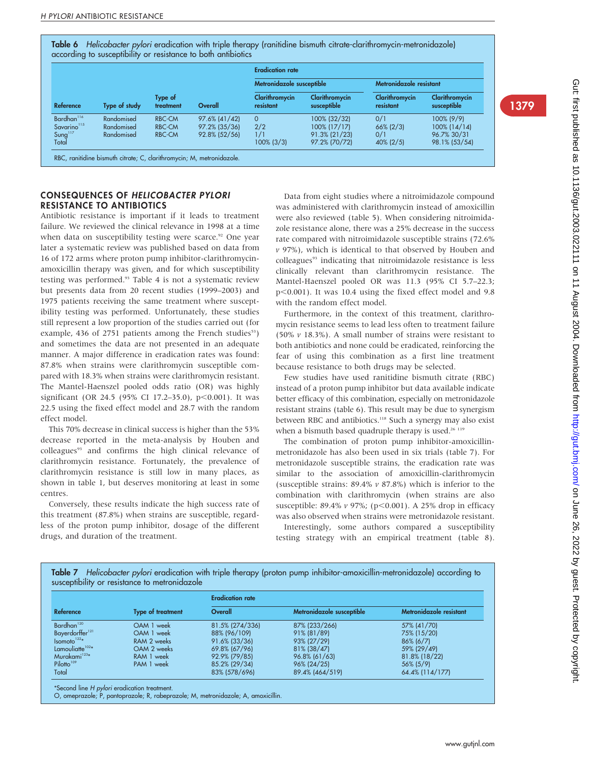Table 6 Helicobacter pylori eradication with triple therapy (ranitidine bismuth citrate-clarithromycin-metronidazole) according to susceptibility or resistance to both antibiotics

|                         |               |                      |               | <b>Eradication rate</b>     |                               |                             |                               |  |  |
|-------------------------|---------------|----------------------|---------------|-----------------------------|-------------------------------|-----------------------------|-------------------------------|--|--|
| Reference               |               |                      |               | Metronidazole susceptible   |                               | Metronidazole resistant     |                               |  |  |
|                         | Type of study | Type of<br>treatment | Overall       | Clarithromycin<br>resistant | Clarithromycin<br>susceptible | Clarithromycin<br>resistant | Clarithromycin<br>susceptible |  |  |
| Bardhan <sup>116</sup>  | Randomised    | <b>RBC-CM</b>        | 97.6% (41/42) | $\Omega$                    | 100% (32/32)                  | 0/1                         | 100% (9/9)                    |  |  |
| Savarino <sup>115</sup> | Randomised    | <b>RBC-CM</b>        | 97.2% (35/36) | 2/2                         | 100% (17/17)                  | $66\%$ (2/3)                | $100\%$ (14/14)               |  |  |
| Sung <sup>117</sup>     | Randomised    | <b>RBC-CM</b>        | 92.8% (52/56) | 1/1                         | 91.3% (21/23)                 | 0/1                         | 96.7% 30/31                   |  |  |
| Total                   |               |                      |               | $100\%$ (3/3)               | 97.2% (70/72)                 | $40\%$ (2/5)                | 98.1% (53/54)                 |  |  |

# CONSEQUENCES OF HELICOBACTER PYLORI RESISTANCE TO ANTIBIOTICS

Antibiotic resistance is important if it leads to treatment failure. We reviewed the clinical relevance in 1998 at a time when data on susceptibility testing were scarce.<sup>92</sup> One year later a systematic review was published based on data from 16 of 172 arms where proton pump inhibitor-clarithromycinamoxicillin therapy was given, and for which susceptibility testing was performed.<sup>93</sup> Table 4 is not a systematic review but presents data from 20 recent studies (1999–2003) and 1975 patients receiving the same treatment where susceptibility testing was performed. Unfortunately, these studies still represent a low proportion of the studies carried out (for example, 436 of 2751 patients among the French studies<sup>53</sup>) and sometimes the data are not presented in an adequate manner. A major difference in eradication rates was found: 87.8% when strains were clarithromycin susceptible compared with 18.3% when strains were clarithromycin resistant. The Mantel-Haenszel pooled odds ratio (OR) was highly significant (OR 24.5 (95% CI 17.2-35.0), p<0.001). It was 22.5 using the fixed effect model and 28.7 with the random effect model.

This 70% decrease in clinical success is higher than the 53% decrease reported in the meta-analysis by Houben and colleagues<sup>93</sup> and confirms the high clinical relevance of clarithromycin resistance. Fortunately, the prevalence of clarithromycin resistance is still low in many places, as shown in table 1, but deserves monitoring at least in some centres.

Conversely, these results indicate the high success rate of this treatment (87.8%) when strains are susceptible, regardless of the proton pump inhibitor, dosage of the different drugs, and duration of the treatment.

Data from eight studies where a nitroimidazole compound was administered with clarithromycin instead of amoxicillin were also reviewed (table 5). When considering nitroimidazole resistance alone, there was a 25% decrease in the success rate compared with nitroimidazole susceptible strains (72.6%  $v$  97%), which is identical to that observed by Houben and colleagues<sup>93</sup> indicating that nitroimidazole resistance is less clinically relevant than clarithromycin resistance. The Mantel-Haenszel pooled OR was 11.3 (95% CI 5.7–22.3; p<0.001). It was 10.4 using the fixed effect model and 9.8 with the random effect model.

Furthermore, in the context of this treatment, clarithromycin resistance seems to lead less often to treatment failure (50%  $\nu$  18.3%). A small number of strains were resistant to both antibiotics and none could be eradicated, reinforcing the fear of using this combination as a first line treatment because resistance to both drugs may be selected.

Few studies have used ranitidine bismuth citrate (RBC) instead of a proton pump inhibitor but data available indicate better efficacy of this combination, especially on metronidazole resistant strains (table 6). This result may be due to synergism between RBC and antibiotics.<sup>118</sup> Such a synergy may also exist when a bismuth based quadruple therapy is used.<sup>26 119</sup>

The combination of proton pump inhibitor-amoxicillinmetronidazole has also been used in six trials (table 7). For metronidazole susceptible strains, the eradication rate was similar to the association of amoxicillin-clarithromycin (susceptible strains: 89.4% v 87.8%) which is inferior to the combination with clarithromycin (when strains are also susceptible: 89.4%  $\nu$  97%; (p<0.001). A 25% drop in efficacy was also observed when strains were metronidazole resistant.

Interestingly, some authors compared a susceptibility testing strategy with an empirical treatment (table 8).

|                                               |  |  |  | Table 7 Helicobacter pylori eradication with triple therapy (proton pump inhibitor-amoxicillin-metronidazole) according to |  |  |
|-----------------------------------------------|--|--|--|----------------------------------------------------------------------------------------------------------------------------|--|--|
| susceptibility or resistance to metronidazole |  |  |  |                                                                                                                            |  |  |

|                             |                          | <b>Eradication rate</b> |                           |                         |  |  |  |  |
|-----------------------------|--------------------------|-------------------------|---------------------------|-------------------------|--|--|--|--|
| Reference                   | <b>Type of treatment</b> | Overall                 | Metronidazole susceptible | Metronidazole resistant |  |  |  |  |
| Bardhan <sup>120</sup>      | OAM 1 week               | 81.5% (274/336)         | 87% (233/266)             | 57% (41/70)             |  |  |  |  |
| Bayerdorffer <sup>121</sup> | OAM 1 week               | 88% (96/109)            | 91% (81/89)               | 75% (15/20)             |  |  |  |  |
| Isomoto <sup>122</sup>      | RAM 2 weeks              | 91.6% (33/36)           | 93% (27/29)               | $86\%$ (6/7)            |  |  |  |  |
| Lamouliatte $102*$          | OAM 2 weeks              | 69.8% (67/96)           | 81% (38/47)               | 59% (29/49)             |  |  |  |  |
| Murakami <sup>123*</sup>    | RAM 1 week               | 92.9% (79/85)           | 96.8% (61/63)             | 81.8% (18/22)           |  |  |  |  |
| Pilotto <sup>109</sup>      | PAM 1 week               | 85.2% (29/34)           | 96% (24/25)               | 56% (5/9)               |  |  |  |  |
| Total                       |                          | 83% (578/696)           | 89.4% (464/519)           | 64.4% (114/177)         |  |  |  |  |

O, omeprazole; P, pantoprazole; R, rabeprazole; M, metronidazole; A, amoxicillin.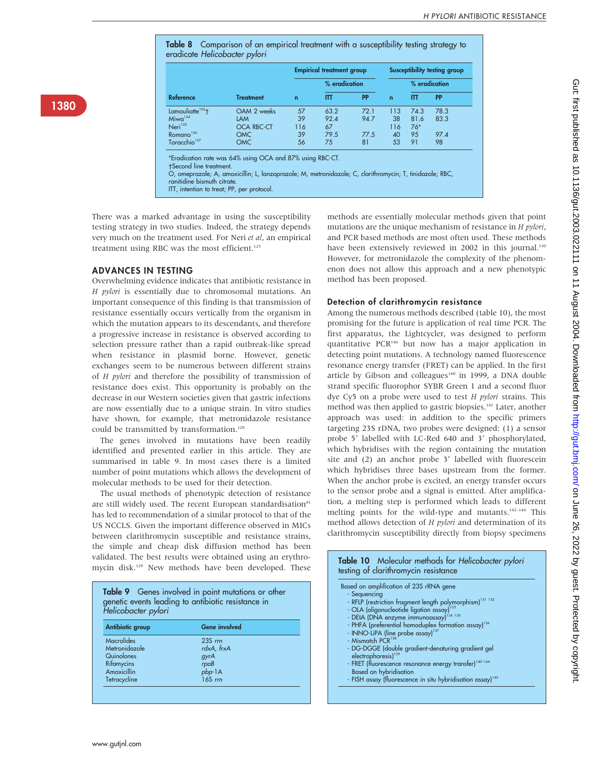Table 8 Comparison of an empirical treatment with a susceptibility testing strategy to eradicate Helicobacter pylori

|                              |                   |             | <b>Empirical treatment group</b> |           | Susceptibility testing group |       |           |  |
|------------------------------|-------------------|-------------|----------------------------------|-----------|------------------------------|-------|-----------|--|
|                              |                   |             | % eradication                    |           | % eradication                |       |           |  |
| Reference                    | <b>Treatment</b>  | $\mathbf n$ | IΠ                               | <b>PP</b> | lΠ<br>$\mathbf n$            |       | <b>PP</b> |  |
| Lamouliatte <sup>102</sup> t | OAM 2 weeks       | 57          | 63.2                             | 72.1      | 113                          | 74.3  | 78.3      |  |
| $Miwa^{124}$                 | <b>LAM</b>        | 39          | 92.4                             | 94.7      | 38                           | 81.6  | 83.3      |  |
| Neri <sup>125</sup>          | <b>OCA RBC-CT</b> | 116         | 67                               |           | 116                          | $76*$ |           |  |
| Romano <sup>126</sup>        | <b>OMC</b>        | 39          | 79.5                             | 77.5      | 40                           | 95    | 97.4      |  |
| Toracchio <sup>127</sup>     | <b>OMC</b>        | 56          | 75                               | 81        | 53                           | 91    | 98        |  |

Second line treatment.

O, omeprazole; A, amoxicillin; L, lanzoprazole; M, metronidazole; C, clarithromycin; T, tinidazole; RBC, ranitidine bismuth citrate.

ITT, intention to treat; PP, per protocol.

There was a marked advantage in using the susceptibility testing strategy in two studies. Indeed, the strategy depends very much on the treatment used. For Neri et al, an empirical treatment using RBC was the most efficient.<sup>125</sup>

# ADVANCES IN TESTING

Overwhelming evidence indicates that antibiotic resistance in H pylori is essentially due to chromosomal mutations. An important consequence of this finding is that transmission of resistance essentially occurs vertically from the organism in which the mutation appears to its descendants, and therefore a progressive increase in resistance is observed according to selection pressure rather than a rapid outbreak-like spread when resistance in plasmid borne. However, genetic exchanges seem to be numerous between different strains of H pylori and therefore the possibility of transmission of resistance does exist. This opportunity is probably on the decrease in our Western societies given that gastric infections are now essentially due to a unique strain. In vitro studies have shown, for example, that metronidazole resistance could be transmitted by transformation.<sup>128</sup>

The genes involved in mutations have been readily identified and presented earlier in this article. They are summarised in table 9. In most cases there is a limited number of point mutations which allows the development of molecular methods to be used for their detection.

The usual methods of phenotypic detection of resistance are still widely used. The recent European standardisation<sup>81</sup> has led to recommendation of a similar protocol to that of the US NCCLS. Given the important difference observed in MICs between clarithromycin susceptible and resistance strains, the simple and cheap disk diffusion method has been validated. The best results were obtained using an erythromycin disk.<sup>129</sup> New methods have been developed. These

| genetic events leading to antibiotic resistance in<br>Helicobacter pylori |                      |  |  |  |  |  |
|---------------------------------------------------------------------------|----------------------|--|--|--|--|--|
| Antibiotic group                                                          | <b>Gene involved</b> |  |  |  |  |  |
| Macrolides                                                                | $23S$ rrn            |  |  |  |  |  |
| Metronidazole                                                             | rdxA, frxA           |  |  |  |  |  |
| Quinolones                                                                | gyrA                 |  |  |  |  |  |
| Rifamycins                                                                | rpoB                 |  |  |  |  |  |
| Amoxicillin                                                               | $pbp-1A$             |  |  |  |  |  |
| Tetracycline                                                              | $16S$ rm             |  |  |  |  |  |

methods are essentially molecular methods given that point mutations are the unique mechanism of resistance in H pylori, and PCR based methods are most often used. These methods have been extensively reviewed in 2002 in this journal.<sup>130</sup> However, for metronidazole the complexity of the phenomenon does not allow this approach and a new phenotypic method has been proposed.

# Detection of clarithromycin resistance

Among the numerous methods described (table 10), the most promising for the future is application of real time PCR. The first apparatus, the Lightcycler, was designed to perform quantitative PCR146 but now has a major application in detecting point mutations. A technology named fluorescence resonance energy transfer (FRET) can be applied. In the first article by Gibson and colleagues<sup>140</sup> in 1999, a DNA double strand specific fluorophor SYBR Green 1 and a second fluor dye Cy5 on a probe were used to test  $H$  pylori strains. This method was then applied to gastric biopsies.<sup>141</sup> Later, another approach was used: in addition to the specific primers targeting 23S rDNA, two probes were designed: (1) a sensor probe 5' labelled with LC-Red 640 and 3' phosphorylated, which hybridises with the region containing the mutation site and  $(2)$  an anchor probe 3' labelled with fluorescein which hybridises three bases upstream from the former. When the anchor probe is excited, an energy transfer occurs to the sensor probe and a signal is emitted. After amplification, a melting step is performed which leads to different melting points for the wild-type and mutants.<sup>142-144</sup> This method allows detection of H pylori and determination of its clarithromycin susceptibility directly from biopsy specimens

## Table 10 Molecular methods for Helicobacter pylori testing of clarithromycin resistance

Based on amplification of 23S rRNA gene

- Sequencing<br>- RFLP (restriction fragment length polymorphism)<sup>131-132</sup>
- OLA (oligonucleotide ligation assay)<sup>133</sup>
- DEIA (DNA enzyme immunoassay)<sup>1</sup>
- PHFA (preferential homoduplex formation assay)<sup>136</sup>
- INNO-LiPA (line probe assay)<sup>13</sup>
- $-$  Mismatch PCR $1$
- DG-DGGE (double gradient-denaturing gradient gel electrophoresis)<sup>13</sup>
- FRET (fluorescence resonance energy transfer)<sup>140-144</sup>
- Based on hybridisation
- FISH assay (fluorescence in situ hybridisation assay)<sup>145</sup>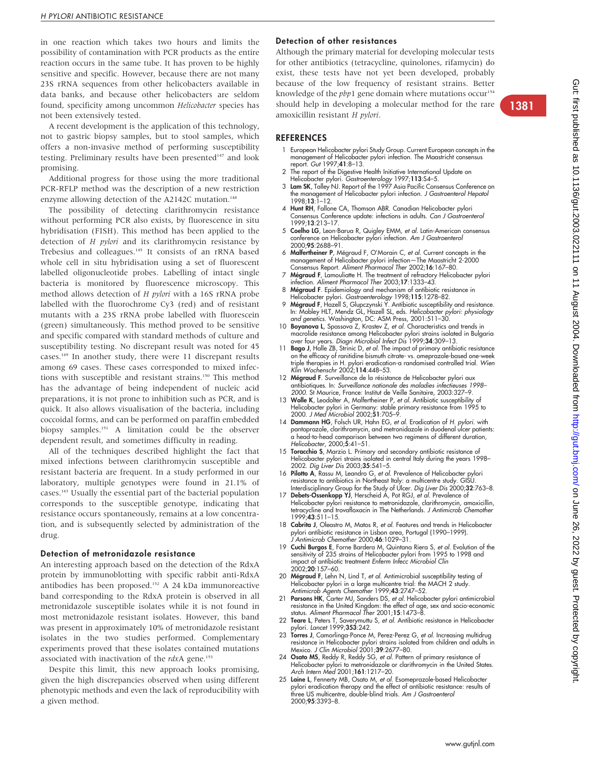in one reaction which takes two hours and limits the possibility of contamination with PCR products as the entire reaction occurs in the same tube. It has proven to be highly sensitive and specific. However, because there are not many 23S rRNA sequences from other helicobacters available in data banks, and because other helicobacters are seldom found, specificity among uncommon Helicobacter species has not been extensively tested.

A recent development is the application of this technology, not to gastric biopsy samples, but to stool samples, which offers a non-invasive method of performing susceptibility testing. Preliminary results have been presented<sup>147</sup> and look promising.

Additional progress for those using the more traditional PCR-RFLP method was the description of a new restriction enzyme allowing detection of the A2142C mutation.<sup>148</sup>

The possibility of detecting clarithromycin resistance without performing PCR also exists, by fluorescence in situ hybridisation (FISH). This method has been applied to the detection of H pylori and its clarithromycin resistance by Trebesius and colleagues.145 It consists of an rRNA based whole cell in situ hybridisation using a set of fluorescent labelled oligonucleotide probes. Labelling of intact single bacteria is monitored by fluorescence microscopy. This method allows detection of H pylori with a 16S rRNA probe labelled with the fluorochrome Cy3 (red) and of resistant mutants with a 23S rRNA probe labelled with fluorescein (green) simultaneously. This method proved to be sensitive and specific compared with standard methods of culture and susceptibility testing. No discrepant result was noted for 45 cases.149 In another study, there were 11 discrepant results among 69 cases. These cases corresponded to mixed infections with susceptible and resistant strains.<sup>150</sup> This method has the advantage of being independent of nucleic acid preparations, it is not prone to inhibition such as PCR, and is quick. It also allows visualisation of the bacteria, including coccoidal forms, and can be performed on paraffin embedded biopsy samples.151 A limitation could be the observer dependent result, and sometimes difficulty in reading.

All of the techniques described highlight the fact that mixed infections between clarithromycin susceptible and resistant bacteria are frequent. In a study performed in our laboratory, multiple genotypes were found in 21.1% of cases.143 Usually the essential part of the bacterial population corresponds to the susceptible genotype, indicating that resistance occurs spontaneously, remains at a low concentration, and is subsequently selected by administration of the drug.

#### Detection of metronidazole resistance

An interesting approach based on the detection of the RdxA protein by immunoblotting with specific rabbit anti-RdxA antibodies has been proposed.152 A 24 kDa immunoreactive band corresponding to the RdxA protein is observed in all metronidazole susceptible isolates while it is not found in most metronidazole resistant isolates. However, this band was present in approximately 10% of metronidazole resistant isolates in the two studies performed. Complementary experiments proved that these isolates contained mutations associated with inactivation of the  $rdxA$  gene.<sup>153</sup>

Despite this limit, this new approach looks promising, given the high discrepancies observed when using different phenotypic methods and even the lack of reproducibility with a given method.

# Detection of other resistances

Although the primary material for developing molecular tests for other antibiotics (tetracycline, quinolones, rifamycin) do exist, these tests have not yet been developed, probably because of the low frequency of resistant strains. Better knowledge of the  $pbp1$  gene domain where mutations occur<sup>154</sup> should help in developing a molecular method for the rare amoxicillin resistant H pylori.

#### **REFERENCES**

- 1 European Helicobacter pylori Study Group. Current European concepts in the management of Helicobacter pylori infection. The Maastricht consensus report. Gut 1997;41:8–13.
- 2 The report of the Digestive Health Initiative International Update on
- Helicobacter pylori. *Gastroenterology* 1997;**113**:S4–5.<br>3 **Lam SK**, Talley NJ. Report of the 1997 Asia Pacific Consensus Conference on the management of Helicobacter pylori infection. *J Gastroenterol Hepatol*<br>1998;**13**:1–12.
- 4 Hunt RH, Fallone CA, Thomson ABR. Canadian Helicobacter pylori Consensus Conference update: infections in adults. Can J Gastroenterol 1999;13:213–17.
- 5 Coelho LG, Leon-Barua R, Quigley EMM, et al. Latin-American consensus conference on Helicobacter pylori infection. Am J Gastroenterol 2000;95:2688–91.
- 6 Malfertheiner P, Mégraud F, O'Morain C, et al. Current concepts in the management of Helicobacter pylori infection—The Maastricht 2-2000 Consensus Report. Aliment Pharmacol Ther 2002;16:167–80.
- 7 Mégraud F, Lamouliatte H. The treatment of refractory Helicobacter pylori infection. Aliment Pharmacol Ther 2003;17:1333–43.
- 8 Mégraud F. Epidemiology and mechanism of antibiotic resistance in Helicobacter pylori. Gastroenterology 1998;115:1278–82.
- 9 Mégraud F, Hazell S, Glupczynski Y. Antibiotic susceptibility and resistance. In: Mobley HLT, Mendz GL, Hazell SL, eds. Helicobacter pylori: physiology
- and genetics. Washington, DC: ASM Press, 2001:511–30.<br>10 Boyanova L, Spassova Z, Krastev Z, *et al.* Characteristics and trends in macrolide resistance among Helicobacter pylori strains isolated in Bulgaria over four years. Diagn Microbiol Infect Dis 1999;34:309–13.
- 11 Bago J, Halle ZB, Strinic D, et al. The impact of primary antibiotic resistance on the efficacy of ranitidine bismuth citrate- vs. omeprazole-based one-week triple therapies in H. pylori eradication-a randomised controlled trial. Wien Klin Wochenschr 2002;114:448-53.
- 12 Mégraud F. Surveillance de la résistance de Helicobacter pylori aux antibiotiques. In: Surveillance nationale des maladies infectieuses 1998– 2000. St Maurice, France: Institut de Veille Sanitaire, 2003:327–9.
- 13 Wolle K, Leodolter A, Malfertheiner P, et al. Antibiotic susceptibility of Helicobacter pylori in Germany: stable primary resistance from 1995 to 2000. J Med Microbiol 2002;51:705–9.
- 14 Dammann HG, Folsch UR, Hahn EG, et al. Eradication of H. pylori. with pantoprazole, clarithromycin, and metronidazole in duodenal ulcer patients: a head-to-head comparison between two regimens of different duration, Helicobacter, 2000;5:41–51.
- 15 Toracchio S, Marzio L. Primary and secondary antibiotic resistance of Helicobacter pylori strains isolated in central Italy during the years 1998– 2002. Dig Liver Dis 2003;35:541–5.
- 16 Pilotto A, Rassu M, Leandro G, et al. Prevalence of Helicobacter pylori resistance to antibiotics in Northeast Italy: a multicentre study. GISU. Interdisciplinary Group for the Study of Ulcer. Dig Liver Dis 2000;32:763-8.
- 17 Debets-Ossenkopp YJ, Herscheid A, Pot RGJ, et al. Prevalence of Helicobacter pylori resistance to metronidazole, clarithromycin, amoxicillin, tetracycline and trovafloxacin in The Netherlands. J Antimicrob Chemother  $1999^{7}43.511 - 15$
- 18 Cabrita J, Oleastro M, Matos R, et al. Features and trends in Helicobacter pylori antibiotic resistance in Lisbon area, Portugal (1990–1999). Antimicrob Chemother 2000;46:1029-31.
- 19 Cuchi Burgos E, Forne Bardera M, Quintana Riera S, et al. Evolution of the sensitivity of 235 strains of Helicobacter pylori from 1995 to 1998 and impact of antibiotic treatment Enferm Infecc Microbiol Clin 2002;20:157–60.
- 20 Mégraud F, Lehn N, Lind T, et al. Antimicrobial susceptibility testing of Helicobacter pylori in a large multicentre trial: the MACH 2 study. Antimicrob Agents Chemother 1999;43:2747–52.
- 21 Parsons HK, Carter MJ, Sanders DS, et al. Helicobacter pylori antimicrobial resistance in the United Kingdom: the effect of age, sex and socio-economic status. Aliment Pharmacol Ther 2001;15:1473–8.
- 22 Teare L, Peters T, Saverymuttu S, et al. Antibiotic resistance in Helicobacter pylori. Lancet 1999;353:242.
- 23 Torres J, Camorlinga-Ponce M, Perez-Perez G, et al. Increasing multidrug resistance in Helicobacter pylori strains isolated from children and adults in Mexico. J Clin Microbiol 2001;39:2677–80.
- 24 Osato MS, Reddy R, Reddy SG, et al. Pattern of primary resistance of Helicobacter pylori to metronidazole or clarithromycin in the United States. Arch Intern Med 2001;161:1217–20.
- 25 Laine L, Fennerty MB, Osato M, et al. Esomeprazole-based Helicobacter pylori eradication therapy and the effect of antibiotic resistance: results of<br>three US multicentre, double-blind trials. A*m J Gastroenterol* 2000;95:3393–8.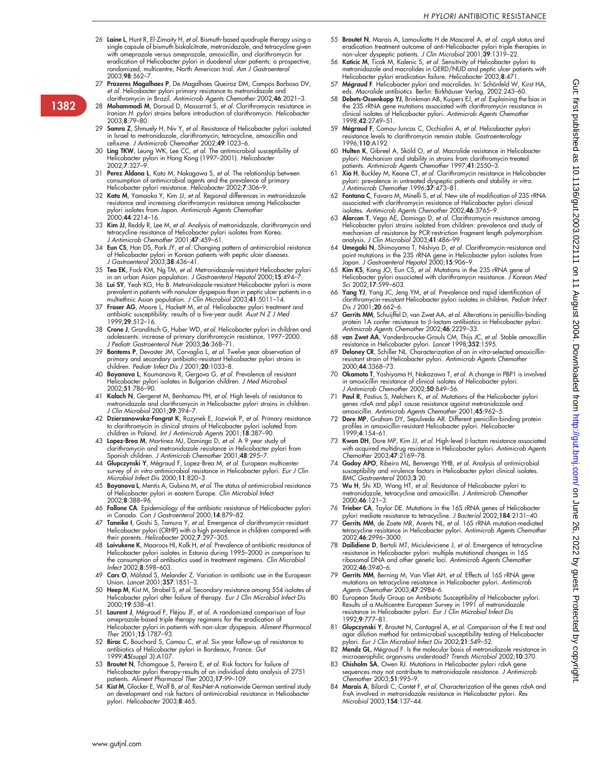- 26 Laine L, Hunt R, El-Zimaity H, et al. Bismuth-based quadruple therapy using a single capsule of bismuth biskalcitrate, metronidazole, and tetracycline given with omeprazole versus omeprazole, amoxicillin, and clarithromycin for eradication of Helicobacter pylori in duodenal ulcer patients: a prospective, randomized, multicentre, North American trial. Am J Gastroenterol 2003;98:562–7.
- 27 Prazeres Magalhaes P, De Magalhaes Queiroz DM, Campos Barbosa DV, et al. Helicobacter pylori primary resistance to metronidazole and
- clarithromycin in Brazil. Antimicrob Agents Chemother 2002;46:2021–3. 28 Mohammadi M, Doroud D, Massarrat S, et al. Clarithromycin resistance in Iranian H. pylori strains before introduction of clarithromycin. Helicobacter 2003;8:79–80.
- 29 Samra Z, Shmuely H, Niv Y, et al. Resistance of Helicobacter pylori isolated in Israel to metronidazole, clarithromycin, tetracycline, amoxicillin and cefixime. J Antimicrob Chemother 2002;49:1023–6.
- 30 Ling TKW, Leung WK, Lee CC, et al. The antimicrobial susceptibility of Helicobacter pylori in Hong Kong (1997–2001). Helicobacter 2002;7:327–9.
- 31 Perez Aldana L, Kato M, Nakagawa S, et al. The relationship between consumption of antimicrobial agents and the prevalence of primary Helicobacter pylori resistance. Helicobacter 2002;7:306–9.
- 32 Kato M, Yamaoka Y, Kim JJ, et al. Regional differences in metronidazole resistance and increasing clarithromycin resistance among Helicobacter pylori isolates from Japan. *Antimicrob Agents Chemother*<br>2000;**44**:2214–16.
- 33 Kim JJ, Reddy R, Lee M, et al. Analysis of metronidazole, clarithromycin and tetracycline resistance of Helicobacter pylori isolates from Korea. J Antimicrob Chemother 2001;47:459–61.
- 34 Eun CS, Han DS, Park JY, et al. Changing pattern of antimicrobial reistance of Helicobacter pylori in Korean patients with peptic ulcer diseases. J Gastroenterol 2003;38:436–41.
- 35 Teo EK, Fock KM, Ng TM, *et al. Metronidazole-resistant Helicobacter pylori*<br>in an urban Asian population. *J Gastroenterol Hepatol* 2000;15:494–7.<br>36 Lui SY, Yeoh KG, Ho B. Metronidazole-resistant Helicobacter pylori i
- prevalent in patients with nonulcer dyspepsia than in peptic ulcer patients in a multiethnic Asian population. J Clin Microbiol 2003;41:5011–14.
- 37 Fraser AG, Moore L, Hackett M, et al. Helicobacter pylori treatment and antibiotic susceptibility: results of a five-year audit. Aust N Z J Med 1999;29:512–16.
- 38 Crone J, Granditsch G, Huber WD, et al. Helicobacter pylori in children and adolescents: increase of primary clarithromycin resistance, 1997–2000.<br>*J Pediatr Gastroenterol Nutr* 2003;**36**:368–71.
- 39 Bontems P, Devaster JM, Corvaglia L, et al. Twelve year observation of primary and secondary antibiotic-resistant Helicobacter pylori strains in children. Pediatr Infect Dis J 2001;20:1033–8.
- Boyanova L, Koumanova R, Gergova G, et al. Prevalence of resistant Helicobacter pylori isolates in Bulgarian children. J Med Microbiol 2002;51:786–90.
- 41 Kalach N, Gergeret M, Benhamou PH, et al. High levels of resistance to metronidazole and clarithromycin in Helicobacter pylori strains in children. J Clin Microbiol 2001;39:394–7.
- 42 Dzierzanowska-Fangrat K, Rozynek E, Jozwiak P, et al. Primary resistance to clarithromycin in clinical strains of Helicobacter pylori isolated from children in Poland. Int J Antimicrob Agents 2001;18:387–90.
- 43 Lopez-Brea M, Martinez MJ, Domingo D, et al. A 9 year study of clarithromycin and metronidazole resistance in Helicobacter pylori from<br>Spanish children. *J Antimicrob Chemother* 2001;**48**:295–7.
- 44 **Glupczynski Y**, Mégraud F, Lopez-Brea M, *et al.* European multicenter<br>survey of *in vitro* antimicrobial resistance in Helicobacter pylori. *Eur J Clin* Microbiol Infect Dis 2000;11:820–3.
- 45 Boyanova L, Mentis A, Gubina M, et al. The status of antimicrobial resistance of Helicobacter pylori in eastern Europe. Clin Microbiol Infect 2002;8:388–96.
- 46 Fallone CA. Epidemiology of the antibiotic resistance of Helicobacter pylori in Canada. Can J Gastroenterol 2000;14:879–82.
- 47 Taneike I, Goshi S, Tamura Y, et al. Emergence of clarithromycin-resistant Helicobacter pylori (CRHP) with a high prevalence in children compared with their parents. Helicobacter 2002;7:297–305.
- 48 Loivukene K, Maaroos HI, Kolk H, et al. Prevalence of antibiotic resistance of Helicobacter pylori isolates in Estonia during 1995–2000 in comparison to the consumption of antibiotics used in treatment regimens. Clin Microbiol Infect 2002;8:598–603.
- 49 Cars O, Mölstad S, Melander Z. Variation in antibiotic use in the European Union. Lancet 2001;357:1851–3.
- 50 Heep M, Kist M, Strobel S, et al. Secondary resistance among 554 isolates of Helicobacter pylori after failure of therapy. Eur J Clin Microbiol Infect Dis 2000;19:538–41.
- 51 Laurent J, Mégraud F, Fléjou JF, et al. A randomized comparison of four omeprazole-based triple therapy regimens for the eradication of Helicobacter pylori in patients with non-ulcer dyspepsia. Aliment Pharmacol Ther 2001;15:1787–93.
- 52 Birac C, Bouchard S, Camou C, et al. Six year follow-up of resistance to antibiotics of Helicobacter pylori in Bordeaux, France. Gut 1999;45(suppl 3):A107.
- 53 Broutet N, Tchamgoue S, Pereira E, *et al.* Risk factors for failure of<br>Helicobacter pylori therapy-results of an individual data analysis of 2751<br>patients. *Aliment Pharmacol Ther* 2003;17:99–109.
- 54 Kist M, Glocker E, Wolf B, et al. ResiNet-A nationwide German sentinel study on development and risk factors of antimicrobial resistance in Helicobacter pylori. Helicobacter 2003;8:465.
- 55 Broutet N, Marais A, Lamouliatte H de Mascarel A, et al. cagA status and eradication treatment outcome of anti-Helicobacter pylori triple therapies in<br>non-ulcer dyspeptic patients. *J Clin Microbiol* 2001;**39**:1319–22.
- 56 Katicic M, Ticak M, Kalenic S, et al. Sensitivity of Helicobacter pylori to metronidazole and macrolides in GERD/NUD and peptic ulcer patients with Helicobacter pylori eradication failure. Helicobacter 2003;8:471.
- 57 Mégraud F. Helicobacter pylori and macrolides. In: Schönfeld W, Kirst HA, eds. Macrolide antibiotics. Berlin: Birkhäuser Verlag, 2002:243-60.
- 58 Debets-Ossenkopp YJ, Brinkman AB, Kuipers EJ, et al. Explaining the bias in the 23S rRNA gene mutations associated with clarithromycin resistance in clinical isolates of Helicobacter pylori. Antimicrob Agents Chemother 1998;42:2749–51.
- 59 Mégraud F, Camou-Juncas C, Occhialini A, et al. Helicobacter pylori resistance levels to clarithromycin remain stable. Gastroenterology 1996;110:A192.
- 60 Hulten K, Gibreel A, Sköld O, et al. Macrolide resistance in Helicobacter pylori: Mechanism and stability in strains from clarithromycin-treated patients. Antimicrob Agents Chemother 1997;41:2550–3.
- 61 Xia H, Buckley M, Keane CT, et al. Clarithromycin resistance in Helicobacter pylori: prevalence in untreated dyspeptic patients and stability in vitro. J Antimicrob Chemother 1996;37:473–81.
- 62 Fontana C, Favaro M, Minelli S, et al. New site of modification of 23S rRNA associated with clarithromycin resistance of Helicobacter pylori clinical isolates. Antimicrob Agents Chemother 2002;46:3765–9.
- 63 Alarcon T, Vega AE, Domingo D, et al. Clarithromycin resistance among Helicobacter pylori strains isolated from children: prevalence and study of mechanism of resistance by PCR-restriction fragment length polymorphism analysis. J Clin Microbiol 2003;41:486–99.
- 64 Umegaki N, Shimoyama T, Nishiya D, et al. Clarithromycin-resistance and point mutations in the 23S rRNA gene in Helicobacter pylori isolates from<br>Japan. *J Gastroenterol Hepatol* 2000;**15**:906–9.
- 65 Kim KS, Kang JO, Eun CS, et al. Mutations in the 23S rRNA gene of Helicobacter pylori associated with clarithromycin resistance. J Korean Med Sci 2002;17:599–603.
- 66 Yang YJ, Yang JC, Jeng YM, et al. Prevalence and rapid identification of clarithromycin-resistant Helicobacter pylori isolates in children. Pediatr Infect Dis J 2001;20:662-6.
- 67 Gerrits MM, Schuijffel D, van Zwet AA, et al. Alterations in penicillin-binding protein 1A confer resistance to  $\beta$ -lactam antibiotics in Helicobacter pylori. Antimicrob Agents Chemother 2002;46:2229–33.
- 68 **van Zwet AA**, Vandenbroucke-Grauls CM, Thijs JC, *et al.* Stable amoxcillin<br>resistance in Helicobacter pylori. *Lancet* 1998;3**52**:1595.<br>69 **Deloney CR**, Schiller NL. Characterization of an *in vitro*-selected amoxicil
- resistant strain of Helicobacter pylori. Antimicrob Agents Chemother 2000;44:3368–73.
- 70 Okamoto T, Yoshiyama H, Nakazawa T, et al. A change in PBP1 is involved in amoxicillin resistance of clinical isolates of Helicobacter pylori. J Antimicrob Chemother 2002;50:849-56.
- Paul R, Postius S, Melchers K, et al. Mutations of the Helicobacter pylori genes rdxA and pbp1 cause resistance against metronidazole and amoxicillin. Antimicrob Agents Chemother 2001;45:962–5.
- 72 Dore MP, Graham DY, Sepulveda AR. Different penicillin-binding protein profiles in amoxicillin-resistant Helicobacter pylori. Helicobacter 1999;4:154–61.
- 73 Kwon DH, Dore MP, Kim JJ, *et al*. High-level β-lactam resistance associated<br>with acquired multidrug resistance in Helicobacter pylori. *Antimicrob Agents<br>Chemother 2003;*47:2169–78.
- 74 Godoy APO, Ribeiro ML, Benvengo YHB, et al. Analysis of antimicrobial susceptibility and virulence factors in Helicobacter pylori clinical isolates. BMC Gastroenterol 2003;3:20.
- 75 Wu H, Shi XD, Wang HT, et al. Resistance of Helicobacter pylori to metronidazole, tetracycline and amoxicillin. J Antimicrob Chemother 2000;46:121–3.
- 
- 76 T**rieber CA**, Taylor DE. Mutations in the 16S rRNA genes of Helicobacter<br>pylori mediate resistance to tetracycline. *J Bacteriol* 2002;**184**:2131–40.<br>77 **Gerrits MM**, de Zoete MR, Arents NL, *et al.* 16S rRNA mutation-m tetracycline resistance in Helicobacter pylori. Antimicrob Agents Chemother 2002;46:2996–3000.
- 78 Dailidiene D, Bertoli MT, Miciuleviciene J, et al. Emergence of tetracycline resistance in Helicobacter pylori: multiple mutational changes in 16S ribosomal DNA and other genetic loci. Antimicrob Agents Chemother 2002;46:3940–6.
- 79 Gerrits MM, Berning M, Van Vliet AH, et al. Effects of 16S rRNA gene mutations on tetracycline resistance in Helicobacter pylori. Antimicrob Agents Chemother 2003;47:2984-6.
- 80 European Study Group on Antibiotic Susceptibility of Helicobacter pylori.<br>Results of a Multicentre European Survey in 1991 of metronidazole<br>resistance in Helicobacter pylori. *Eur J Clin Microbiol Infect Dis*<br>1992;**9**:7
- 81 Glupczynski Y, Broutet N, Cantagrel A, et al. Comparison of the E test and agar dilution method for antimicrobial susceptibility testing of Helicobacter pylori. Eur J Clin Microbiol Infect Dis 2002;21:549–52.
- 82 Mendz GL, Mégraud F. Is the molecular basis of metronidazole resistance in microaerophilic organisms understood? Trends Microbiol 2002;10:370.
- 83 Chisholm SA, Owen RJ. Mutations in Helicobacter pylori rdxA gene sequences may not contribute to metronidazole resistance. J Antimicrob Chemother 2003;51:995-9.
- 84 Marais A, Bilardi C, Cantet F, et al. Characterization of the genes rdxA and frxA involved in metronidazole resistance in Helicobacter pylori. Res Microbiol 2003;154:137–44.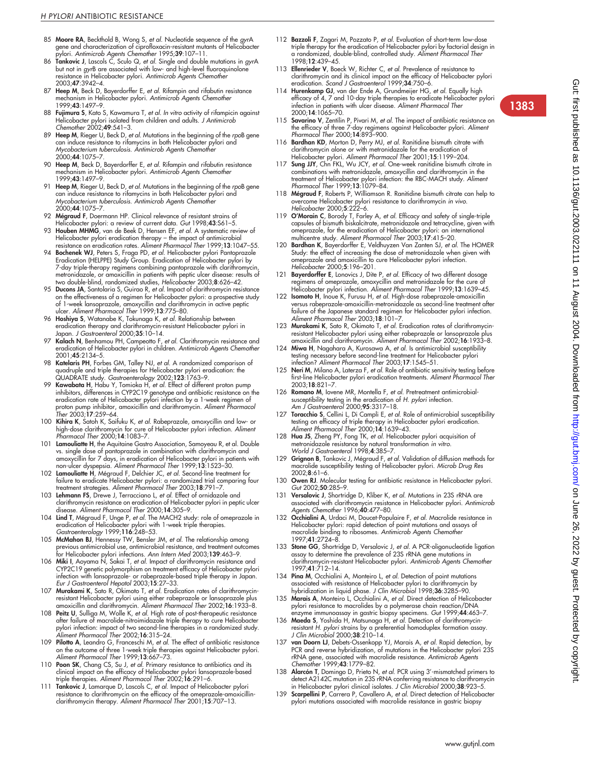- 85 Moore RA, Beckthold B, Wong S, et al. Nucleotide sequence of the gyrA gene and characterization of ciprofloxacin-resistant mutants of Helicobacter
- pylori. Antimicrob Agents Chemother 1995;**39**:107–11.<br>86 **Tankovic J**, Lascols C, Sculo Q, et al. Single and double mutations in gyrA but not in gyrB are associated with low- and high-level fluoroquinolone resistance in Helicobacter pylori. Antimicrob Agents Chemother 2003;47:3942–4.
- 87 Heep M, Beck D, Bayerdorffer E, et al. Rifampin and rifabutin resistance mechanism in Helicobacter pylori. Antimicrob Agents Chemother 1999;43:1497–9.
- 88 **Fujimura S**, Kato S, Kawamura T, *et al. In vitro* activity of rifampicin against<br>Helicobacter pylori isolated from children and adults. *J Antimicrob*<br>Ch*emother 2002;49:541–3.*
- 89 **Heep M**, Rieger U, Beck D, *et al.* Mutations in the beginning of the *rpo*B gene<br>can induce resistance to rifamycins in both Helicobacter pylori and Mycobacterium tuberculosis. Antimicrob Agents Chemother 2000;44:1075–7.
- 90 Heep M, Beck D, Bayerdorffer E, et al. Rifampin and rifabutin resistance mechanism in Helicobacter pylori. Antimicrob Agents Chemother 1999;43:1497–9.
- 91 **Heep M**, Rieger U, Beck D, *et al. Mutations in the beginning of the rpoB gene*<br>can induce resistance to rifamycins in both Helicobacter pylori and<br>*Mycobacterium tuberculosis. Antimicrob Agents Chemother* 2000;44:1075–7.
- 92 Mégraud F, Doermann HP. Clinical relevance of resistant strains of Helicobacter pylori: a review of current data. Gut 1998;43:S61–5.
- 93 Houben MHMG, van de Beek D, Hensen EF, et al. A systematic review of
- Helicobacter pylori eradication therapy the impact of antimicrobial<br>resistance on eradication rates. Aliment Pharmacol Ther 1999;13:1047–55.<br>**94 Bochenek WJ**, Peters S, Fraga PD, *et al.* Helicobacter pylori Pantoprazole metronidazole, or amoxicillin in patients with peptic ulcer disease: results of<br>two double-blind, randomized studies, Helicobacter 2003;**8**:626–42.
- 95 Ducons JA, Santolaria S, Guirao R, et al. Impact of clarithromycin resistance on the effectiveness of a regimen for Helicobacter pylori: a prospective study of 1-week lansoprazole, amoxycillin and clarithromycin in active peptic ulcer. Aliment Pharmacol Ther 1999;13:775–80.
- 96 Hoshiya S, Watanabe K, Tokunaga K, et al. Relationship between eradication therapy and clarithromycin-resistant Helicobacter pylori in Japan. J Gastroenterol 2000;35:10–14.
- 97 Kalach N, Benhamou PH, Campeotto F, et al. Clarithromycin resistance and eradication of Helicobacter pylori in children. Antimicrob Agents Chemother 2001;45:2134–5.
- 98 Katelaris PH, Forbes GM, Talley NJ, et al. A randomized comparison of quadruple and triple therapies for Helicobacter pylori eradication: the QUADRATE study. Gastroenterology 2002;123:1763–9.
- 99 Kawabata H, Habu Y, Tomioka H, et al. Effect of different proton pump inhibitors, differences in CYP2C19 genotype and antibiotic resistance on the eradication rate of Helicobacter pylori infection by a 1-week regimen of proton pump inhibitor, amoxicillin and clarithromycin. Aliment Pharmacol Ther 2003;17:259–64.
- 100 Kihira K, Satoh K, Saifuku K, et al. Rabeprazole, amoxycillin and low- or high-dose clarithromycin for cure of Helicobacter pylori infection. Aliment Pharmacol Ther 2000;14:1083–7.
- 101 Lamouliatte H, the Aquitaine Gastro Association, Samoyeau R, et al. Double vs. single dose of pantoprazole in combination with clarithromycin and amoxycillin for 7 days, in eradication of Helicobacter pylori in patients with non-ulcer dyspepsia. Aliment Pharmacol Ther 1999;13:1523–30.
- Lamouliatte H, Mégraud F, Delchier JC, et al. Second-line treatment for failure to eradicate Helicobacter pylori: a randomized trial comparing four treatment strategies. Aliment Pharmacol Ther 2003;18:791–7.
- 103 Lehmann FS, Drewe J, Terracciano L, et al. Effect of ornidazole and clarithromycin resistance on eradication of Helicobacter pylori in peptic ulcer disease. Aliment Pharmacol Ther 2000;14:305–9.
- 104 Lind T, Mégraud F, Unge P, et al. The MACH2 study: role of omeprazole in eradication of Helicobacter pylori with 1-week triple therapies.<br>*Gastroenterology* 1999;**116**:248–53.
- 105 McMahon BJ, Hennessy TW, Bensler JM, et al. The relationship among previous antimicrobial use, antimicrobial resistance, and treatment outcomes for Helicobacter pylori infections. Ann Intern Med 2003;139:463-9
- 106 Miki I, Aoyama N, Sakai T, et al. Impact of clarithromycin resistance and CYP2C19 genetic polymorphism on treatment efficacy of Helicobacter pylori infection with lansoprazole- or rabeprazole-based triple therapy in Japan.<br>*Eur J Gastroenterol Hepatol* 2003;**15**:27–33.
- 107 Murakami K, Sato R, Okimoto T, et al. Eradication rates of clarithromycinresistant Helicobacter pylori using either rabeprazole or lansoprazole plus amoxicillin and clarithromycin. Aliment Pharmacol Ther 2002;16:1933-8.
- 108 Peitz U, Sulliga M, Wolle K, *et al.* High rate of post-therapeutic resistance<br>after failure of macrolide-nitroimidazole triple therapy to cure Helicobacter pylori infection: impact of two second-line therapies in a randomized study. Aliment Pharmacol Ther 2002;16:315–24.
- 109 Pilotto A, Leandro G, Franceschi M, et al. The effect of antibiotic resistance
- on the outcome of three 1-week triple therapies against Helicobacter pylori.<br>Aliment Pharmacol Ther 1999;13:667–73.<br>110 **Poon SK**, Chang CS, Su J, et al. Primary resistance to antibiotics and its<br>clinical impact on the eff
- 111 **Tankovic J**, Lamarque D, Lascols C, *et al.* Impact of Helicobacter pylori<br>resistance to clarithromycin on the efficacy of the omeprazole-amoxicillinclarithromycin therapy. Aliment Pharmacol Ther 2001;15:707-13.
- 112 Bazzoli F, Zagari M, Pozzato P, et al. Evaluation of short-term low-dose triple therapy for the eradication of Helicobacter pylori by factorial design in<br>a randomized, double-blind, controlled study. *Aliment Pharmacol Ther* 1998;12:439–45.
- 113 Ellenrieder V, Boeck W, Richter C, et al. Prevalence of resistance to clarithromycin and its clinical impact on the efficacy of Helicobacter pylori eradication. Scand J Gastroenterol 1999;34:750-6.
- 114 Hurenkamp GJ, van der Ende A, Grundmeijer HG, et al. Equally high efficacy of 4, 7 and 10-day triple therapies to eradicate Helicobacter pylori infection in patients with ulcer disease. Aliment Pharmacol Ther 2000;14:1065–70.
- 115 Savarino V, Zentilin P, Pivari M, et al. The impact of antibiotic resistance on the efficacy of three 7-day regimens against Helicobacter pylori. Aliment Pharmacol Ther 2000;14:893–900.
- 116 Bardhan KD, Morton D, Perry MJ, et al. Ranitidine bismuth citrate with clarithromycin alone or with metronidazole for the eradication of Helicobacter pylori. Aliment Pharmacol Ther 2001;15:1199–204.
- 117 Sung JJY, Chn FKL, Wu JCY, et al. One-week ranitidine bismuth citrate in combinations with metronidazole, amoxycillin and clarithromycin in the<br>treatment of Helicobacter pylori infection: the RBC-MACH study. *Aliment*<br>*Pharmacol Ther* 1999;**13**:1079–84.
- 118 Mégraud F, Roberts P, Williamson R. Ranitidine bismuth citrate can help to overcome Helicobacter pylori resistance to clarithromycin in vivo. Helicobacter 2000;5:222–6.
- 119 O'Morain C, Borody T, Farley A, et al. Efficacy and safety of single-triple capsules of bismuth biskalcitrate, metronidazole and tetracycline, given with omeprazole, for the eradication of Helicobacter pylori: an international multicentre study. Aliment Pharmacol Ther 2003;17:415–20.
- 120 Bardhan K, Bayerdorffer E, Veldhuyzen Van Zanten SJ, et al. The HOMER Study: the effect of increasing the dose of metronidazole when given with omeprazole and amoxicillin to cure Helicobacter pylori infection. Helicobacter 2000;5:196–201.
- 121 Bayerdorffer E, Lonovics J, Dite P, et al. Efficacy of two different dosage regimens of omeprazole, amoxycillin and metronidazole for the cure of Helicobacter pylori infection. Aliment Pharmacol Ther 1999;13:1639–45.
- 122 Isomoto H, Inoue K, Furusu H, et al. High-dose rabeprazole-amoxicillin versus rabeprazole-amoxicillin-metronidazole as second-line treatment after failure of the Japanese standard regimen for Helicobacter pylori infection. Aliment Pharmacol Ther 2003;18:101–7.
- 123 Murakami K, Sato R, Okimoto T, et al. Eradication rates of clarithromycinresistant Helicobacter pylori using either rabeprazole or lansoprazole plus amoxicillin and clarithromycin. Aliment Pharmacol Ther 2002;16:1933–8.
- 124 Miwa H, Nagahara A, Kurosawa A, et al. Is antimicrobial susceptibility testing necessary before second-line treatment for Helicobacter pylori infection? Aliment Pharmacol Ther 2003;17:1545–51.
- 125 Neri M, Milano A, Laterza F, et al. Role of antibiotic sensitivity testing before first-line Helicobacter pylori eradication treatments. Aliment Pharmacol Ther 2003;18:821–7.
- 126 Romano M, Iovene MR, Montella F, et al. Pretreatment antimicrobialsusceptibility testing in the eradication of H. pylori infection.<br>Am J Gastroenterol 2000;**95**:3317–18.
- Toracchio S, Cellini L, Di Campli E, et al. Role of antimicrobial susceptibility testing on efficacy of triple therapy in Helicobacter pylori eradication. Aliment Pharmacol Ther 2000;14:1639–43.
- 128 Hua JS, Zheng PY, Fong TK, et al. Helicobacter pylori acquisition of metronidazole resistance by natural transformation in vitro. World J Gastroenterol 1998;4:385–7.
- 129 Grignon B, Tankovic J, Mégraud F, *et al*. Validation of diffusion methods for<br>macrolide susceptibility testing of Helicobacter pylori. *Microb Drug Res* 2002;8:61–6.
- 130 Owen RJ. Molecular testing for antibiotic resistance in Helicobacter pylori. Gut 2002;50:285-9.
- 131 Versalovic J, Shortridge D, Kliber K, et al. Mutations in 23S rRNA are associated with clarithromycin resistance in Helicobacter pylori. *Antimicrob*<br>Agents Chemother 1996;**40**:477–80.
- 132 Occhialini A, Urdaci M, Doucet-Populaire F, et al. Macrolide resistance in Helicobacter pylori: rapid detection of point mutations and assays of macrolide binding to ribosomes. Antimicrob Agents Chemother 1997;41:2724–8.
- 133 Stone GG, Shortridge D, Versalovic J, et al. A PCR-oligonucleotide ligation assay to determine the prevalence of 23S rRNA gene mutations in clarithromycin-resistant Helicobacter pylori. Antimicrob Agents Chemother 1997;41:712–14.
- 134 Pina M, Occhialini A, Monteiro L, et al. Detection of point mutations associated with resistance of Helicobacter pylori to clarithromycin by<br>hybridization in liquid phase. J Clin Microbiol 1998;36:3285–90.<br>135 Marais A, Monteiro L, Occhialini A, *et al.* Direct detection of Helicobacter
- pylori resistance to macrolides by a polymerase chain reaction/DNA<br>enzyme immunoassay in gastric biopsy specimens. *Gut* 1999;4**4**:463–7.<br>136 **Maeda S**, Yoshida H, Matsunaga H, *et al.* Detection of clarithromycin-
- resistant H. pylori strains by a preferential homoduplex formation assay. J Clin Microbiol 2000;38:210–14.
- 137 van Doorn LJ, Debets-Ossenkopp YJ, Marais A, et al. Rapid detection, by PCR and reverse hybridization, of mutations in the Helicobacter pylori 23S rRNA gene, associated with macrolide resistance. *Antimicrob Agents*<br>Chemother 1999;**43**:1779–82.
- 138 Alarcón T, Domingo D, Prieto N, et al. PCR using 3'-mismatched primers to detect A2142C mutation in 23S rRNA conferring resistance to clarithromycin in Helicobacter pylori clinical isolates. J Clin Microbiol 2000;38:923-5
- Scarpellini P, Carrera P, Cavallero A, et al. Direct detection of Helicobacter pylori mutations associated with macrolide resistance in gastric biopsy